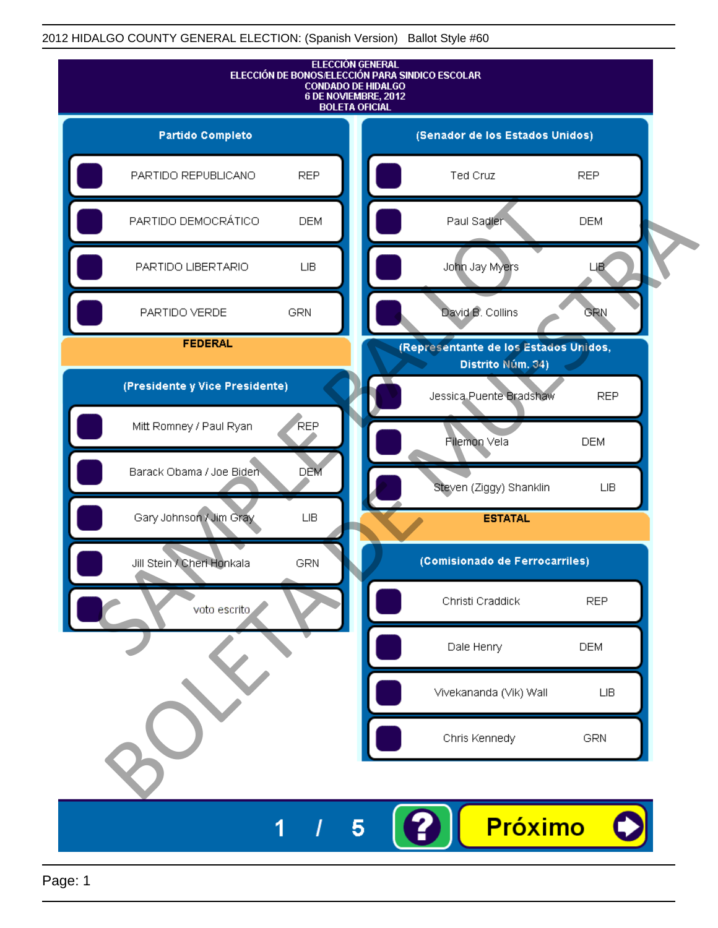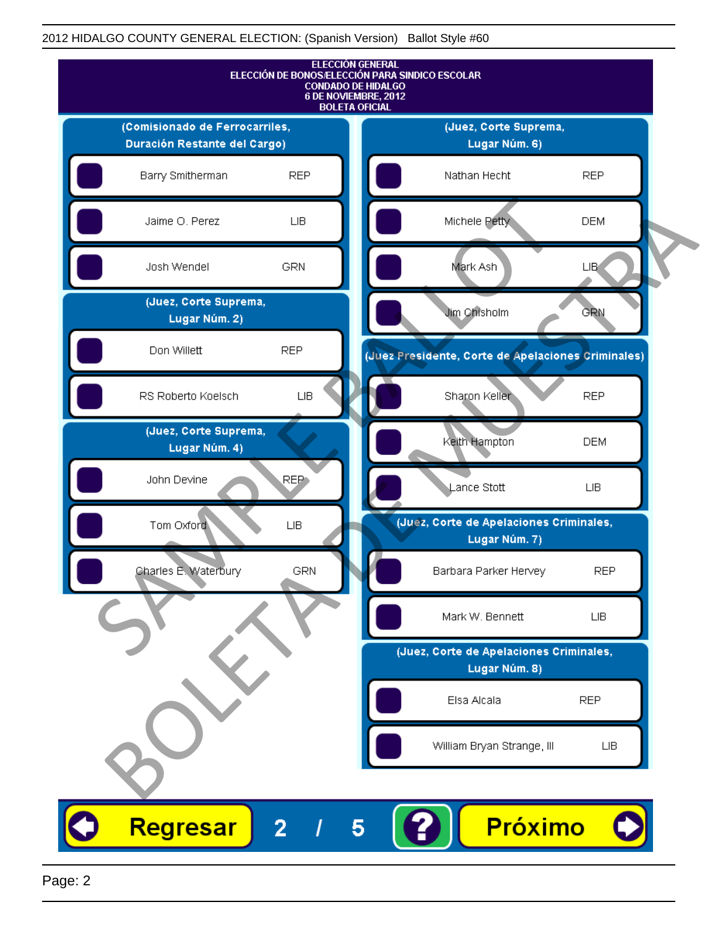

Page: 2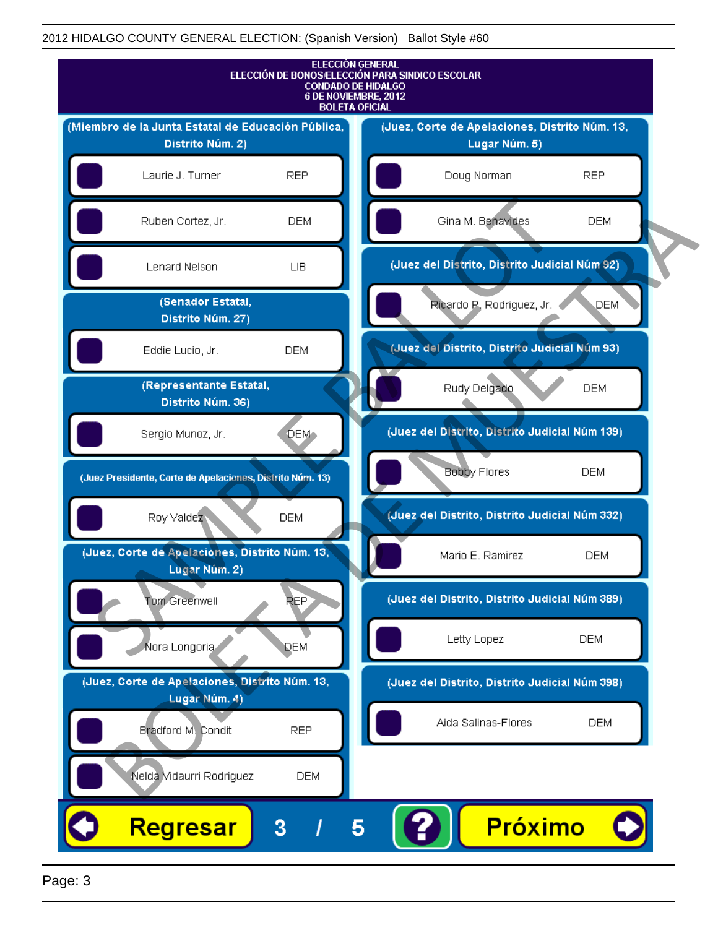

Page: 3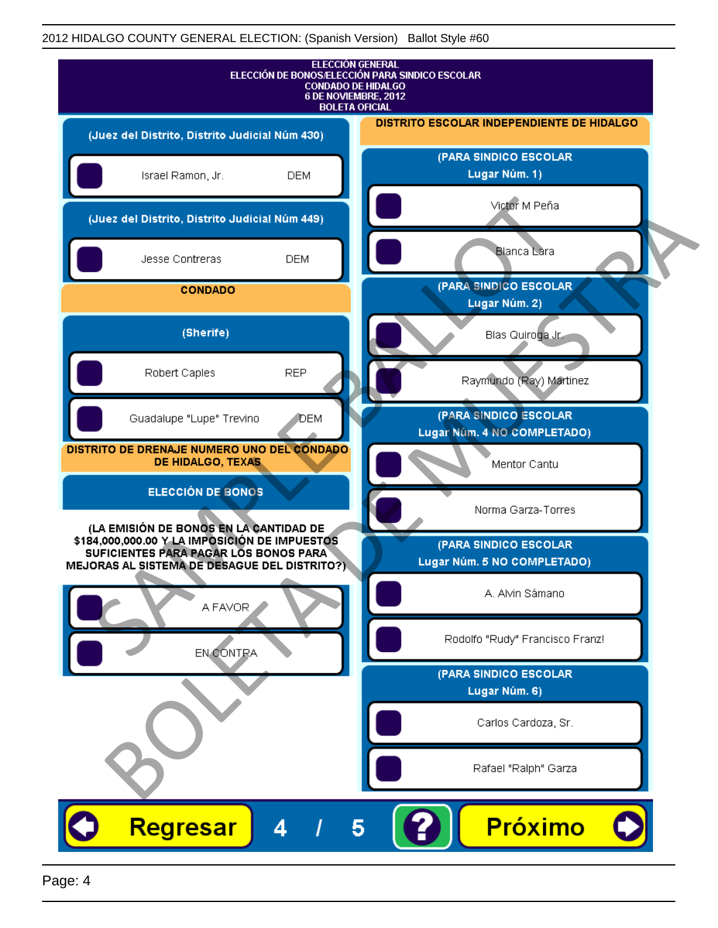| <b>ELECCIÓN GENERAL</b><br>ELECCIÓN DE BONOS/ELECCIÓN PARA SINDICO ESCOLAR<br><b>CONDADO DE HIDALGO</b><br>6 DE NOVIEMBRE, 2012<br><b>BOLETA OFICIAL</b>                         |                                                      |
|----------------------------------------------------------------------------------------------------------------------------------------------------------------------------------|------------------------------------------------------|
| (Juez del Distrito, Distrito Judicial Núm 430)                                                                                                                                   | DISTRITO ESCOLAR INDEPENDIENTE DE HIDALGO            |
| Israel Ramon, Jr.<br><b>DEM</b>                                                                                                                                                  | (PARA SINDICO ESCOLAR<br>Lugar Núm. 1)               |
| (Juez del Distrito, Distrito Judicial Núm 449)                                                                                                                                   | Victor M Peña                                        |
| Jesse Contreras<br><b>DEM</b>                                                                                                                                                    | <b>Blanca Lara</b>                                   |
| <b>CONDADO</b>                                                                                                                                                                   | (PARA SINDICO ESCOLAR<br>Lugar Núm. 2)               |
| (Sherife)                                                                                                                                                                        | Blas Quiroga Jr.                                     |
| <b>REP</b><br>Robert Caples                                                                                                                                                      | Raymundo (Ray) Martinez                              |
| Guadalupe "Lupe" Trevino<br><b>J</b> DEM                                                                                                                                         | (PARA SINDICO ESCOLAR<br>Lugar Núm. 4 NO COMPLETADO) |
| DISTRITO DE DRENAJE NUMERO UNO DEL CONDADO<br>DE HIDALGO, TEXAS                                                                                                                  | Mentor Cantu                                         |
| <b>ELECCIÓN DE BONOS</b>                                                                                                                                                         | Norma Garza-Torres                                   |
| (LA EMISIÓN DE BONOS EN LA CANTIDAD DE<br>\$184,000,000.00 Y LA IMPOSICIÓN DE IMPUESTOS<br>SUFICIENTES PARA PAGAR LOS BONOS PARA<br>MEJORAS AL SISTEMA DE DESAGUE DEL DISTRITO?) | (PARA SINDICO ESCOLAR<br>Lugar Núm. 5 NO COMPLETADO) |
| A FAVOR                                                                                                                                                                          | A. Alvin Sámano                                      |
| EN CONTRA                                                                                                                                                                        | Rodolfo "Rudy" Francisco Franz!                      |
|                                                                                                                                                                                  | (PARA SINDICO ESCOLAR<br>Lugar Núm. 6)               |
|                                                                                                                                                                                  | Carlos Cardoza, Sr.                                  |
|                                                                                                                                                                                  | Rafael "Ralph" Garza                                 |
| Regresar<br>Δ<br>5                                                                                                                                                               | <b>Próximo</b>                                       |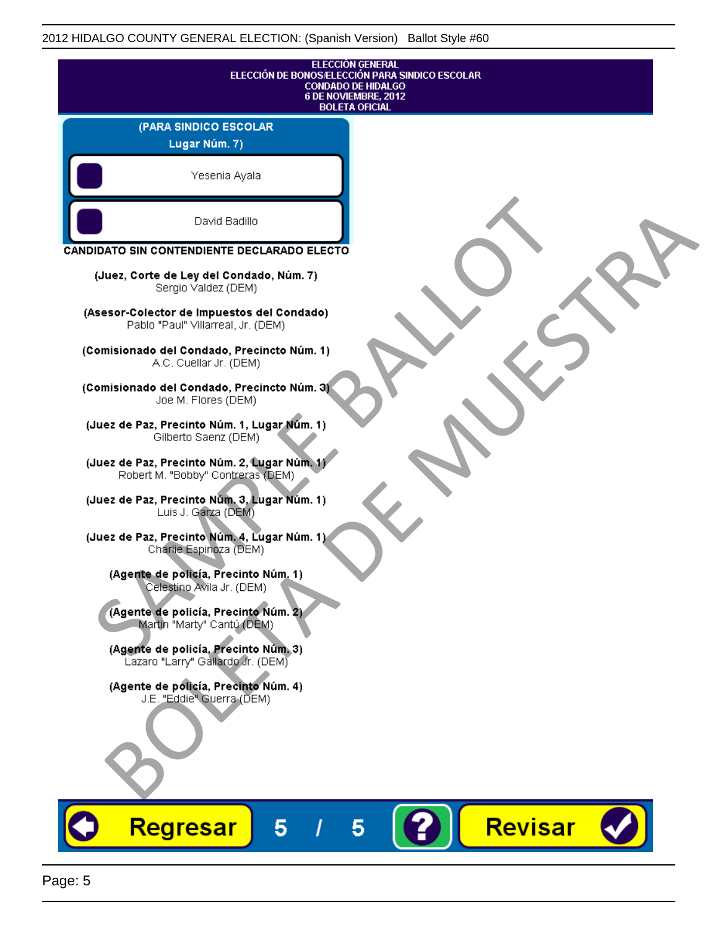|                                                                                   | <b>ELECCIÓN GENERAL</b><br>ELECCIÓN DE BONOS/ELECCIÓN PARA SINDICO ESCOLAR<br><b>CONDADO DE HIDALGO</b><br>6 DE NOVIEMBRE, 2012<br><b>BOLETA OFICIAL</b> |
|-----------------------------------------------------------------------------------|----------------------------------------------------------------------------------------------------------------------------------------------------------|
| (PARA SINDICO ESCOLAR                                                             |                                                                                                                                                          |
| Lugar Núm. 7)                                                                     |                                                                                                                                                          |
| Yesenia Ayala                                                                     |                                                                                                                                                          |
| David Badillo                                                                     |                                                                                                                                                          |
| CANDIDATO SIN CONTENDIENTE DECLARADO ELECTO                                       |                                                                                                                                                          |
| (Juez, Corte de Ley del Condado, Núm. 7)<br>Sergio Valdez (DEM)                   |                                                                                                                                                          |
| (Asesor-Colector de Impuestos del Condado)<br>Pablo "Paul" Villarreal, Jr. (DEM)  |                                                                                                                                                          |
| (Comisionado del Condado, Precincto Núm. 1)<br>A.C. Cuellar Jr. (DEM)             |                                                                                                                                                          |
| (Comisionado del Condado, Precincto Núm. 3)<br>Joe M. Flores (DEM)                |                                                                                                                                                          |
| (Juez de Paz, Precinto Núm. 1, Lugar Núm. 1)<br>Gilberto Saenz (DEM)              |                                                                                                                                                          |
| (Juez de Paz, Precinto Núm. 2, Lugar Núm. 1)<br>Robert M. "Bobby" Contreras (DEM) |                                                                                                                                                          |
| (Juez de Paz, Precinto Núm. 3, Lugar Núm. 1)<br>Luis J. Garza (DEM)               |                                                                                                                                                          |
| (Juez de Paz, Precinto Núm. 4, Lugar Núm. 1)<br>Charlie Espinoza (DEM)            |                                                                                                                                                          |
| (Agente de policía, Precinto Núm. 1)<br>Celestino Avila Jr. (DEM)                 |                                                                                                                                                          |
| (Agente de policía, Precinto Núm. 2)<br>Martin "Marty" Cantú (DEM)                |                                                                                                                                                          |
| (Agente de policía, Precinto Núm. 3)<br>Lazaro "Larry" Gallardo Jr. (DEM)         |                                                                                                                                                          |
| (Agente de policía, Precinto Núm. 4)<br>J.E. "Eddie" Guerra (DEM)                 |                                                                                                                                                          |
|                                                                                   |                                                                                                                                                          |
|                                                                                   |                                                                                                                                                          |
| 5<br><b>Regresar</b>                                                              | Revisar<br>5                                                                                                                                             |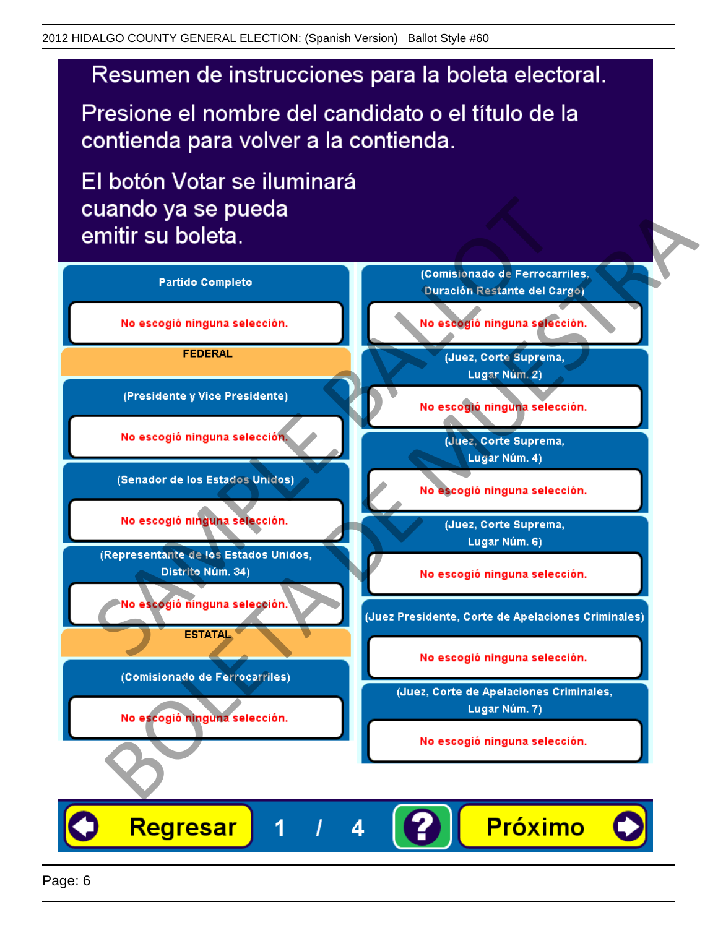Presione el nombre del candidato o el título de la contienda para volver a la contienda.

El botón Votar se iluminará

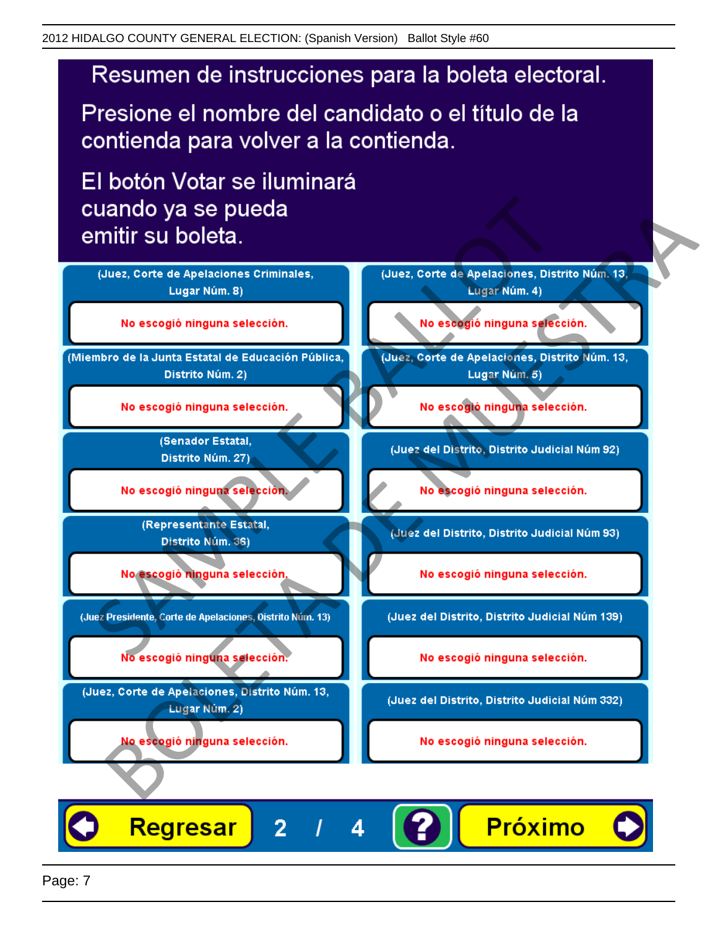Presione el nombre del candidato o el título de la contienda para volver a la contienda.

El botón Votar se iluminará



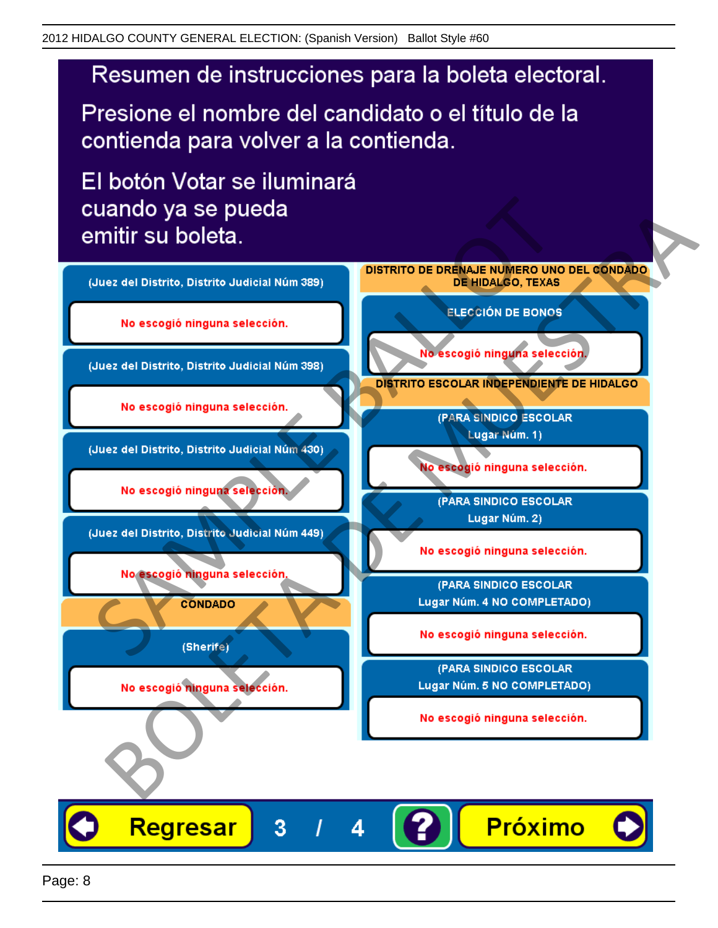Presione el nombre del candidato o el título de la contienda para volver a la contienda.

El botón Votar se iluminará